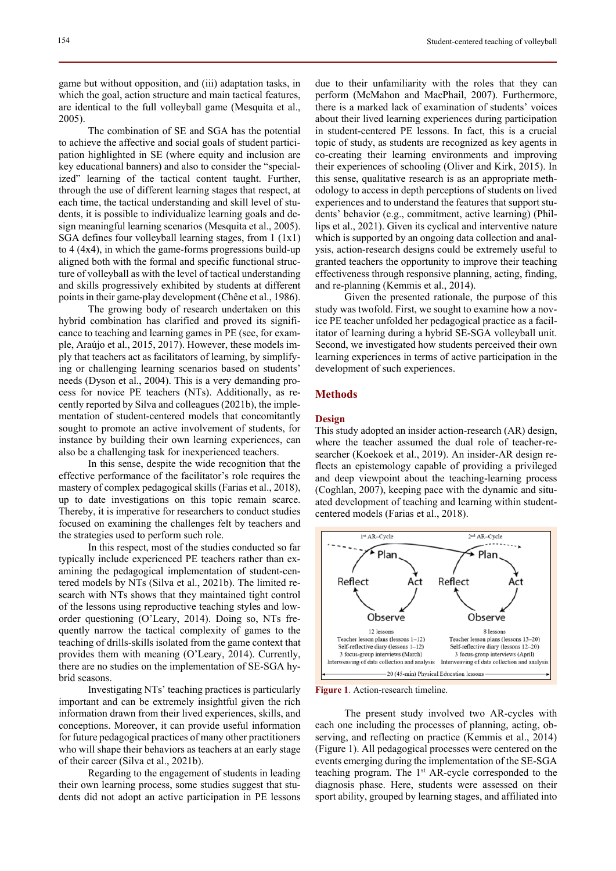game but without opposition, and (iii) adaptation tasks, in which the goal, action structure and main tactical features, are identical to the full volleyball game (Mesquita et al., 2005).

The combination of SE and SGA has the potential to achieve the affective and social goals of student participation highlighted in SE (where equity and inclusion are key educational banners) and also to consider the "specialized" learning of the tactical content taught. Further, through the use of different learning stages that respect, at each time, the tactical understanding and skill level of students, it is possible to individualize learning goals and design meaningful learning scenarios (Mesquita et al., 2005). SGA defines four volleyball learning stages, from 1 (1x1) to 4 (4x4), in which the game-forms progressions build-up aligned both with the formal and specific functional structure of volleyball as with the level of tactical understanding and skills progressively exhibited by students at different points in their game-play development (Chêne et al., 1986).

The growing body of research undertaken on this hybrid combination has clarified and proved its significance to teaching and learning games in PE (see, for example, Araújo et al., 2015, 2017). However, these models imply that teachers act as facilitators of learning, by simplifying or challenging learning scenarios based on students' needs (Dyson et al., 2004). This is a very demanding process for novice PE teachers (NTs). Additionally, as recently reported by Silva and colleagues (2021b), the implementation of student-centered models that concomitantly sought to promote an active involvement of students, for instance by building their own learning experiences, can also be a challenging task for inexperienced teachers.

In this sense, despite the wide recognition that the effective performance of the facilitator's role requires the mastery of complex pedagogical skills (Farias et al., 2018), up to date investigations on this topic remain scarce. Thereby, it is imperative for researchers to conduct studies focused on examining the challenges felt by teachers and the strategies used to perform such role.

In this respect, most of the studies conducted so far typically include experienced PE teachers rather than examining the pedagogical implementation of student-centered models by NTs (Silva et al., 2021b). The limited research with NTs shows that they maintained tight control of the lessons using reproductive teaching styles and loworder questioning (O'Leary, 2014). Doing so, NTs frequently narrow the tactical complexity of games to the teaching of drills-skills isolated from the game context that provides them with meaning (O'Leary, 2014). Currently, there are no studies on the implementation of SE-SGA hybrid seasons.

Investigating NTs' teaching practices is particularly important and can be extremely insightful given the rich information drawn from their lived experiences, skills, and conceptions. Moreover, it can provide useful information for future pedagogical practices of many other practitioners who will shape their behaviors as teachers at an early stage of their career (Silva et al., 2021b).

Regarding to the engagement of students in leading their own learning process, some studies suggest that students did not adopt an active participation in PE lessons

due to their unfamiliarity with the roles that they can perform (McMahon and MacPhail, 2007). Furthermore, there is a marked lack of examination of students' voices about their lived learning experiences during participation in student-centered PE lessons. In fact, this is a crucial topic of study, as students are recognized as key agents in co-creating their learning environments and improving their experiences of schooling (Oliver and Kirk, 2015). In this sense, qualitative research is as an appropriate methodology to access in depth perceptions of students on lived experiences and to understand the features that support students' behavior (e.g., commitment, active learning) (Phillips et al., 2021). Given its cyclical and interventive nature which is supported by an ongoing data collection and analysis, action-research designs could be extremely useful to granted teachers the opportunity to improve their teaching effectiveness through responsive planning, acting, finding, and re-planning (Kemmis et al., 2014).

Given the presented rationale, the purpose of this study was twofold. First, we sought to examine how a novice PE teacher unfolded her pedagogical practice as a facilitator of learning during a hybrid SE-SGA volleyball unit. Second, we investigated how students perceived their own learning experiences in terms of active participation in the development of such experiences.

# **Methods**

## **Design**

This study adopted an insider action-research (AR) design, where the teacher assumed the dual role of teacher-researcher (Koekoek et al., 2019). An insider-AR design reflects an epistemology capable of providing a privileged and deep viewpoint about the teaching-learning process (Coghlan, 2007), keeping pace with the dynamic and situated development of teaching and learning within studentcentered models (Farias et al., 2018).



**Figure 1**. Action-research timeline.

The present study involved two AR-cycles with each one including the processes of planning, acting, observing, and reflecting on practice (Kemmis et al., 2014) (Figure 1). All pedagogical processes were centered on the events emerging during the implementation of the SE-SGA teaching program. The 1<sup>st</sup> AR-cycle corresponded to the diagnosis phase. Here, students were assessed on their sport ability, grouped by learning stages, and affiliated into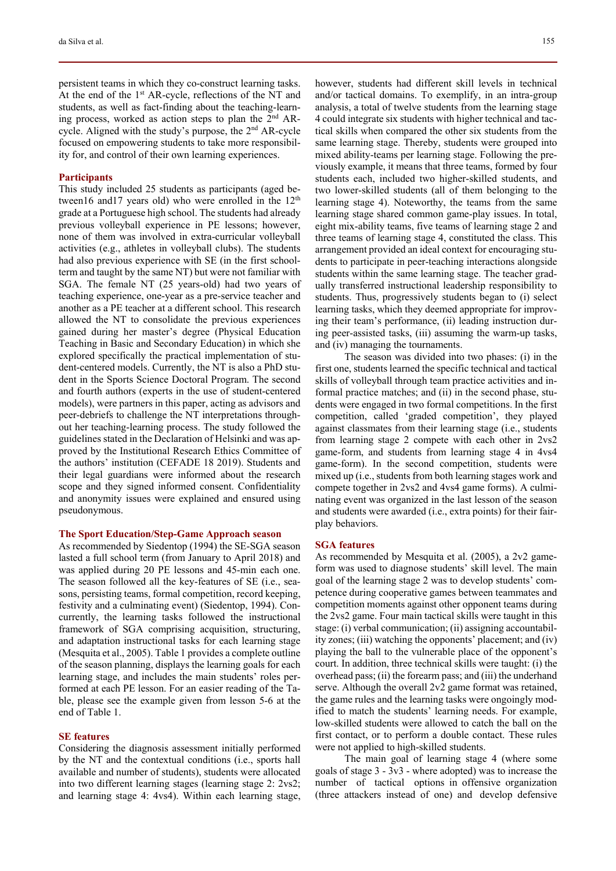persistent teams in which they co-construct learning tasks. At the end of the 1st AR-cycle, reflections of the NT and students, as well as fact-finding about the teaching-learning process, worked as action steps to plan the  $2<sup>nd</sup> AR$ cycle. Aligned with the study's purpose, the 2nd AR-cycle focused on empowering students to take more responsibility for, and control of their own learning experiences.

## **Participants**

This study included 25 students as participants (aged between16 and17 years old) who were enrolled in the  $12<sup>th</sup>$ grade at a Portuguese high school. The students had already previous volleyball experience in PE lessons; however, none of them was involved in extra-curricular volleyball activities (e.g., athletes in volleyball clubs). The students had also previous experience with SE (in the first schoolterm and taught by the same NT) but were not familiar with SGA. The female NT (25 years-old) had two years of teaching experience, one-year as a pre-service teacher and another as a PE teacher at a different school. This research allowed the NT to consolidate the previous experiences gained during her master's degree (Physical Education Teaching in Basic and Secondary Education) in which she explored specifically the practical implementation of student-centered models. Currently, the NT is also a PhD student in the Sports Science Doctoral Program. The second and fourth authors (experts in the use of student-centered models), were partners in this paper, acting as advisors and peer-debriefs to challenge the NT interpretations throughout her teaching-learning process. The study followed the guidelines stated in the Declaration of Helsinki and was approved by the Institutional Research Ethics Committee of the authors' institution (CEFADE 18 2019). Students and their legal guardians were informed about the research scope and they signed informed consent. Confidentiality and anonymity issues were explained and ensured using pseudonymous.

## **The Sport Education/Step-Game Approach season**

As recommended by Siedentop (1994) the SE-SGA season lasted a full school term (from January to April 2018) and was applied during 20 PE lessons and 45-min each one. The season followed all the key-features of SE (i.e., seasons, persisting teams, formal competition, record keeping, festivity and a culminating event) (Siedentop, 1994). Concurrently, the learning tasks followed the instructional framework of SGA comprising acquisition, structuring, and adaptation instructional tasks for each learning stage (Mesquita et al., 2005). Table 1 provides a complete outline of the season planning, displays the learning goals for each learning stage, and includes the main students' roles performed at each PE lesson. For an easier reading of the Table, please see the example given from lesson 5-6 at the end of Table 1.

#### **SE features**

Considering the diagnosis assessment initially performed by the NT and the contextual conditions (i.e., sports hall available and number of students), students were allocated into two different learning stages (learning stage 2: 2vs2; and learning stage 4: 4vs4). Within each learning stage, however, students had different skill levels in technical and/or tactical domains. To exemplify, in an intra-group analysis, a total of twelve students from the learning stage 4 could integrate six students with higher technical and tactical skills when compared the other six students from the same learning stage. Thereby, students were grouped into mixed ability-teams per learning stage. Following the previously example, it means that three teams, formed by four students each, included two higher-skilled students, and two lower-skilled students (all of them belonging to the learning stage 4). Noteworthy, the teams from the same learning stage shared common game-play issues. In total, eight mix-ability teams, five teams of learning stage 2 and three teams of learning stage 4, constituted the class. This arrangement provided an ideal context for encouraging students to participate in peer-teaching interactions alongside students within the same learning stage. The teacher gradually transferred instructional leadership responsibility to students. Thus, progressively students began to (i) select learning tasks, which they deemed appropriate for improving their team's performance, (ii) leading instruction during peer-assisted tasks, (iii) assuming the warm-up tasks, and (iv) managing the tournaments.

The season was divided into two phases: (i) in the first one, students learned the specific technical and tactical skills of volleyball through team practice activities and informal practice matches; and (ii) in the second phase, students were engaged in two formal competitions. In the first competition, called 'graded competition', they played against classmates from their learning stage (i.e., students from learning stage 2 compete with each other in 2vs2 game-form, and students from learning stage 4 in 4vs4 game-form). In the second competition, students were mixed up (i.e., students from both learning stages work and compete together in 2vs2 and 4vs4 game forms). A culminating event was organized in the last lesson of the season and students were awarded (i.e., extra points) for their fairplay behaviors.

#### **SGA features**

As recommended by Mesquita et al. (2005), a 2v2 gameform was used to diagnose students' skill level. The main goal of the learning stage 2 was to develop students' competence during cooperative games between teammates and competition moments against other opponent teams during the 2vs2 game. Four main tactical skills were taught in this stage: (i) verbal communication; (ii) assigning accountability zones; (iii) watching the opponents' placement; and (iv) playing the ball to the vulnerable place of the opponent's court. In addition, three technical skills were taught: (i) the overhead pass; (ii) the forearm pass; and (iii) the underhand serve. Although the overall 2v2 game format was retained, the game rules and the learning tasks were ongoingly modified to match the students' learning needs. For example, low-skilled students were allowed to catch the ball on the first contact, or to perform a double contact. These rules were not applied to high-skilled students.

The main goal of learning stage 4 (where some goals of stage 3 - 3v3 - where adopted) was to increase the number of tactical options in offensive organization (three attackers instead of one) and develop defensive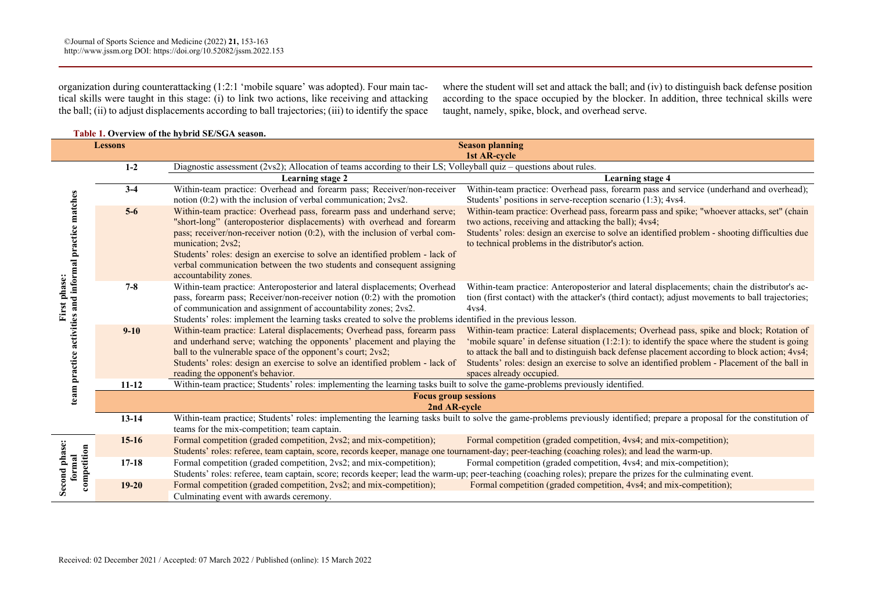**Table 1. Overview of the hybrid SE/SGA season.** 

organization during counterattacking (1:2:1 'mobile square' was adopted). Four main tactical skills were taught in this stage: (i) to link two actions, like receiving and attacking the ball; (ii) to adjust displacements according to ball trajectories; (iii) to identify the space

where the student will set and attack the ball; and (iv) to distinguish back defense position according to the space occupied by the blocker. In addition, three technical skills were taught, namely, spike, block, and overhead serve.

| <b>Lessons</b>                                                         |           | <b>Season planning</b>                                                                                                                                                    |                                                                                                                                                                                               |  |
|------------------------------------------------------------------------|-----------|---------------------------------------------------------------------------------------------------------------------------------------------------------------------------|-----------------------------------------------------------------------------------------------------------------------------------------------------------------------------------------------|--|
|                                                                        |           | 1st AR-cycle<br>Diagnostic assessment (2vs2); Allocation of teams according to their LS; Volleyball quiz – questions about rules.                                         |                                                                                                                                                                                               |  |
| team practice activities and informal practice matches<br>First phase: | $1-2$     |                                                                                                                                                                           |                                                                                                                                                                                               |  |
|                                                                        | $3-4$     | <b>Learning stage 2</b><br>Within-team practice: Overhead and forearm pass; Receiver/non-receiver                                                                         | <b>Learning stage 4</b><br>Within-team practice: Overhead pass, forearm pass and service (underhand and overhead);                                                                            |  |
|                                                                        |           | notion (0:2) with the inclusion of verbal communication; 2vs2.                                                                                                            | Students' positions in serve-reception scenario (1:3); 4vs4.                                                                                                                                  |  |
|                                                                        | $5-6$     | Within-team practice: Overhead pass, forearm pass and underhand serve;                                                                                                    | Within-team practice: Overhead pass, forearm pass and spike; "whoever attacks, set" (chain                                                                                                    |  |
|                                                                        |           | "short-long" (anteroposterior displacements) with overhead and forearm                                                                                                    | two actions, receiving and attacking the ball); 4vs4;                                                                                                                                         |  |
|                                                                        |           | pass; receiver/non-receiver notion (0:2), with the inclusion of verbal com-                                                                                               | Students' roles: design an exercise to solve an identified problem - shooting difficulties due                                                                                                |  |
|                                                                        |           | munication; 2vs2;                                                                                                                                                         | to technical problems in the distributor's action.                                                                                                                                            |  |
|                                                                        |           | Students' roles: design an exercise to solve an identified problem - lack of                                                                                              |                                                                                                                                                                                               |  |
|                                                                        |           | verbal communication between the two students and consequent assigning                                                                                                    |                                                                                                                                                                                               |  |
|                                                                        |           | accountability zones.                                                                                                                                                     |                                                                                                                                                                                               |  |
|                                                                        | $7 - 8$   | Within-team practice: Anteroposterior and lateral displacements; Overhead                                                                                                 | Within-team practice: Anteroposterior and lateral displacements; chain the distributor's ac-                                                                                                  |  |
|                                                                        |           | pass, forearm pass; Receiver/non-receiver notion $(0:2)$ with the promotion                                                                                               | tion (first contact) with the attacker's (third contact); adjust movements to ball trajectories;                                                                                              |  |
|                                                                        |           | of communication and assignment of accountability zones; 2vs2.                                                                                                            | 4vs4.                                                                                                                                                                                         |  |
|                                                                        |           | Students' roles: implement the learning tasks created to solve the problems identified in the previous lesson.                                                            |                                                                                                                                                                                               |  |
|                                                                        | $9 - 10$  | Within-team practice: Lateral displacements; Overhead pass, forearm pass<br>and underhand serve; watching the opponents' placement and playing the                        | Within-team practice: Lateral displacements; Overhead pass, spike and block; Rotation of<br>'mobile square' in defense situation $(1:2:1)$ : to identify the space where the student is going |  |
|                                                                        |           | ball to the vulnerable space of the opponent's court; 2vs2;                                                                                                               | to attack the ball and to distinguish back defense placement according to block action; 4vs4;                                                                                                 |  |
|                                                                        |           | Students' roles: design an exercise to solve an identified problem - lack of                                                                                              | Students' roles: design an exercise to solve an identified problem - Placement of the ball in                                                                                                 |  |
|                                                                        |           | reading the opponent's behavior.                                                                                                                                          | spaces already occupied.                                                                                                                                                                      |  |
|                                                                        | $11 - 12$ | Within-team practice; Students' roles: implementing the learning tasks built to solve the game-problems previously identified.                                            |                                                                                                                                                                                               |  |
|                                                                        |           | <b>Focus group sessions</b>                                                                                                                                               |                                                                                                                                                                                               |  |
|                                                                        |           | 2nd AR-cycle                                                                                                                                                              |                                                                                                                                                                                               |  |
|                                                                        | $13 - 14$ | Within-team practice; Students' roles: implementing the learning tasks built to solve the game-problems previously identified; prepare a proposal for the constitution of |                                                                                                                                                                                               |  |
|                                                                        |           | teams for the mix-competition; team captain.                                                                                                                              |                                                                                                                                                                                               |  |
| Second phase:<br>competition<br>formal                                 | $15-16$   | Formal competition (graded competition, 2vs2; and mix-competition);                                                                                                       | Formal competition (graded competition, 4vs4; and mix-competition);                                                                                                                           |  |
|                                                                        |           | Students' roles: referee, team captain, score, records keeper, manage one tournament-day; peer-teaching (coaching roles); and lead the warm-up.                           |                                                                                                                                                                                               |  |
|                                                                        | $17-18$   | Formal competition (graded competition, 2vs2; and mix-competition);                                                                                                       | Formal competition (graded competition, 4vs4; and mix-competition);                                                                                                                           |  |
|                                                                        |           | Students' roles: referee, team captain, score; records keeper; lead the warm-up; peer-teaching (coaching roles); prepare the prizes for the culminating event.            |                                                                                                                                                                                               |  |
|                                                                        | $19 - 20$ | Formal competition (graded competition, 2vs2; and mix-competition);                                                                                                       | Formal competition (graded competition, 4vs4; and mix-competition);                                                                                                                           |  |
|                                                                        |           | Culminating event with awards ceremony.                                                                                                                                   |                                                                                                                                                                                               |  |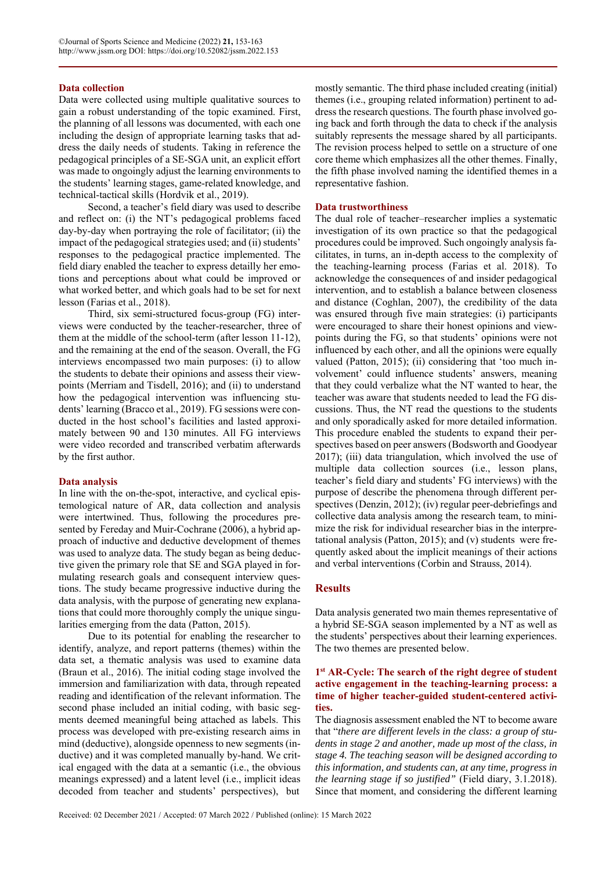## **Data collection**

Data were collected using multiple qualitative sources to gain a robust understanding of the topic examined. First, the planning of all lessons was documented, with each one including the design of appropriate learning tasks that address the daily needs of students. Taking in reference the pedagogical principles of a SE-SGA unit, an explicit effort was made to ongoingly adjust the learning environments to the students' learning stages, game-related knowledge, and technical-tactical skills (Hordvik et al., 2019).

Second, a teacher's field diary was used to describe and reflect on: (i) the NT's pedagogical problems faced day-by-day when portraying the role of facilitator; (ii) the impact of the pedagogical strategies used; and (ii) students' responses to the pedagogical practice implemented. The field diary enabled the teacher to express detailly her emotions and perceptions about what could be improved or what worked better, and which goals had to be set for next lesson (Farias et al., 2018).

Third, six semi-structured focus-group (FG) interviews were conducted by the teacher-researcher, three of them at the middle of the school-term (after lesson 11-12), and the remaining at the end of the season. Overall, the FG interviews encompassed two main purposes: (i) to allow the students to debate their opinions and assess their viewpoints (Merriam and Tisdell, 2016); and (ii) to understand how the pedagogical intervention was influencing students' learning (Bracco et al., 2019). FG sessions were conducted in the host school's facilities and lasted approximately between 90 and 130 minutes. All FG interviews were video recorded and transcribed verbatim afterwards by the first author.

## **Data analysis**

In line with the on-the-spot, interactive, and cyclical epistemological nature of AR, data collection and analysis were intertwined. Thus, following the procedures presented by Fereday and Muir-Cochrane (2006), a hybrid approach of inductive and deductive development of themes was used to analyze data. The study began as being deductive given the primary role that SE and SGA played in formulating research goals and consequent interview questions. The study became progressive inductive during the data analysis, with the purpose of generating new explanations that could more thoroughly comply the unique singularities emerging from the data (Patton, 2015).

Due to its potential for enabling the researcher to identify, analyze, and report patterns (themes) within the data set, a thematic analysis was used to examine data (Braun et al., 2016). The initial coding stage involved the immersion and familiarization with data, through repeated reading and identification of the relevant information. The second phase included an initial coding, with basic segments deemed meaningful being attached as labels. This process was developed with pre-existing research aims in mind (deductive), alongside openness to new segments (inductive) and it was completed manually by-hand. We critical engaged with the data at a semantic (i.e., the obvious meanings expressed) and a latent level (i.e., implicit ideas decoded from teacher and students' perspectives), but mostly semantic. The third phase included creating (initial) themes (i.e., grouping related information) pertinent to address the research questions. The fourth phase involved going back and forth through the data to check if the analysis suitably represents the message shared by all participants. The revision process helped to settle on a structure of one core theme which emphasizes all the other themes. Finally, the fifth phase involved naming the identified themes in a representative fashion.

#### **Data trustworthiness**

The dual role of teacher–researcher implies a systematic investigation of its own practice so that the pedagogical procedures could be improved. Such ongoingly analysis facilitates, in turns, an in-depth access to the complexity of the teaching-learning process (Farias et al. 2018). To acknowledge the consequences of and insider pedagogical intervention, and to establish a balance between closeness and distance (Coghlan, 2007), the credibility of the data was ensured through five main strategies: (i) participants were encouraged to share their honest opinions and viewpoints during the FG, so that students' opinions were not influenced by each other, and all the opinions were equally valued (Patton, 2015); (ii) considering that 'too much involvement' could influence students' answers, meaning that they could verbalize what the NT wanted to hear, the teacher was aware that students needed to lead the FG discussions. Thus, the NT read the questions to the students and only sporadically asked for more detailed information. This procedure enabled the students to expand their perspectives based on peer answers (Bodsworth and Goodyear 2017); (iii) data triangulation, which involved the use of multiple data collection sources (i.e., lesson plans, teacher's field diary and students' FG interviews) with the purpose of describe the phenomena through different perspectives (Denzin, 2012); (iv) regular peer-debriefings and collective data analysis among the research team, to minimize the risk for individual researcher bias in the interpretational analysis (Patton, 2015); and (v) students were frequently asked about the implicit meanings of their actions and verbal interventions (Corbin and Strauss, 2014).

#### **Results**

Data analysis generated two main themes representative of a hybrid SE-SGA season implemented by a NT as well as the students' perspectives about their learning experiences. The two themes are presented below.

# **1st AR-Cycle: The search of the right degree of student active engagement in the teaching-learning process: a time of higher teacher-guided student-centered activities.**

The diagnosis assessment enabled the NT to become aware that "*there are different levels in the class: a group of students in stage 2 and another, made up most of the class, in stage 4. The teaching season will be designed according to this information, and students can, at any time, progress in the learning stage if so justified"* (Field diary, 3.1.2018). Since that moment, and considering the different learning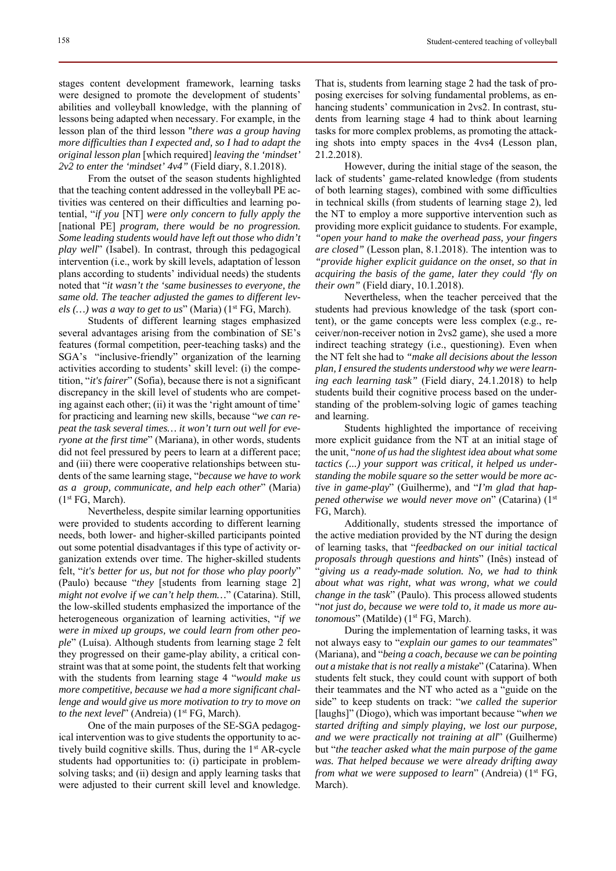stages content development framework, learning tasks were designed to promote the development of students' abilities and volleyball knowledge, with the planning of lessons being adapted when necessary. For example, in the lesson plan of the third lesson "*there was a group having more difficulties than I expected and, so I had to adapt the original lesson plan* [which required] *leaving the 'mindset' 2v2 to enter the 'mindset' 4v4"* (Field diary, 8.1.2018).

From the outset of the season students highlighted that the teaching content addressed in the volleyball PE activities was centered on their difficulties and learning potential, "*if you* [NT] *were only concern to fully apply the* [national PE] *program, there would be no progression. Some leading students would have left out those who didn't play well*" (Isabel). In contrast, through this pedagogical intervention (i.e., work by skill levels, adaptation of lesson plans according to students' individual needs) the students noted that "*it wasn't the 'same businesses to everyone, the same old. The teacher adjusted the games to different levels (...) was a way to get to us*" (Maria) (1<sup>st</sup> FG, March).

Students of different learning stages emphasized several advantages arising from the combination of SE's features (formal competition, peer-teaching tasks) and the SGA's "inclusive-friendly" organization of the learning activities according to students' skill level: (i) the competition, "*it's fairer*" (Sofia), because there is not a significant discrepancy in the skill level of students who are competing against each other; (ii) it was the 'right amount of time' for practicing and learning new skills, because "*we can repeat the task several times… it won't turn out well for everyone at the first time*" (Mariana), in other words, students did not feel pressured by peers to learn at a different pace; and (iii) there were cooperative relationships between students of the same learning stage, "*because we have to work as a group, communicate, and help each other*" (Maria) (1st FG, March).

Nevertheless, despite similar learning opportunities were provided to students according to different learning needs, both lower- and higher-skilled participants pointed out some potential disadvantages if this type of activity organization extends over time. The higher-skilled students felt, "*it's better for us, but not for those who play poorly*" (Paulo) because "*they* [students from learning stage 2] *might not evolve if we can't help them…*" (Catarina). Still, the low-skilled students emphasized the importance of the heterogeneous organization of learning activities, "*if we were in mixed up groups, we could learn from other people*" (Luísa). Although students from learning stage 2 felt they progressed on their game-play ability, a critical constraint was that at some point, the students felt that working with the students from learning stage 4 "*would make us more competitive, because we had a more significant challenge and would give us more motivation to try to move on to the next level*" (Andreia) (1<sup>st</sup> FG, March).

One of the main purposes of the SE-SGA pedagogical intervention was to give students the opportunity to actively build cognitive skills. Thus, during the 1<sup>st</sup> AR-cycle students had opportunities to: (i) participate in problemsolving tasks; and (ii) design and apply learning tasks that were adjusted to their current skill level and knowledge.

That is, students from learning stage 2 had the task of proposing exercises for solving fundamental problems, as enhancing students' communication in 2vs2. In contrast, students from learning stage 4 had to think about learning tasks for more complex problems, as promoting the attacking shots into empty spaces in the 4vs4 (Lesson plan, 21.2.2018).

However, during the initial stage of the season, the lack of students' game-related knowledge (from students of both learning stages), combined with some difficulties in technical skills (from students of learning stage 2), led the NT to employ a more supportive intervention such as providing more explicit guidance to students. For example, *"open your hand to make the overhead pass, your fingers are closed"* (Lesson plan, 8.1.2018). The intention was to *"provide higher explicit guidance on the onset, so that in acquiring the basis of the game, later they could 'fly on their own"* (Field diary, 10.1.2018).

Nevertheless, when the teacher perceived that the students had previous knowledge of the task (sport content), or the game concepts were less complex (e.g., receiver/non-receiver notion in 2vs2 game), she used a more indirect teaching strategy (i.e., questioning). Even when the NT felt she had to *"make all decisions about the lesson plan, I ensured the students understood why we were learning each learning task"* (Field diary, 24.1.2018) to help students build their cognitive process based on the understanding of the problem-solving logic of games teaching and learning.

Students highlighted the importance of receiving more explicit guidance from the NT at an initial stage of the unit, "*none of us had the slightest idea about what some tactics (...) your support was critical, it helped us understanding the mobile square so the setter would be more active in game-play*" (Guilherme), and "*I'm glad that happened otherwise we would never move on*" (Catarina) (1st FG, March).

Additionally, students stressed the importance of the active mediation provided by the NT during the design of learning tasks, that "*feedbacked on our initial tactical proposals through questions and hints*" (Inês) instead of "*giving us a ready-made solution. No, we had to think about what was right, what was wrong, what we could change in the task*" (Paulo). This process allowed students "*not just do, because we were told to, it made us more autonomous*" (Matilde) (1<sup>st</sup> FG, March).

During the implementation of learning tasks, it was not always easy to "*explain our games to our teammates*" (Mariana), and "*being a coach, because we can be pointing out a mistake that is not really a mistake*" (Catarina). When students felt stuck, they could count with support of both their teammates and the NT who acted as a "guide on the side" to keep students on track: "*we called the superior* [laughs]" (Diogo), which was important because "*when we started drifting and simply playing, we lost our purpose, and we were practically not training at all*" (Guilherme) but "*the teacher asked what the main purpose of the game was. That helped because we were already drifting away from what we were supposed to learn*" (Andreia) (1<sup>st</sup> FG, March).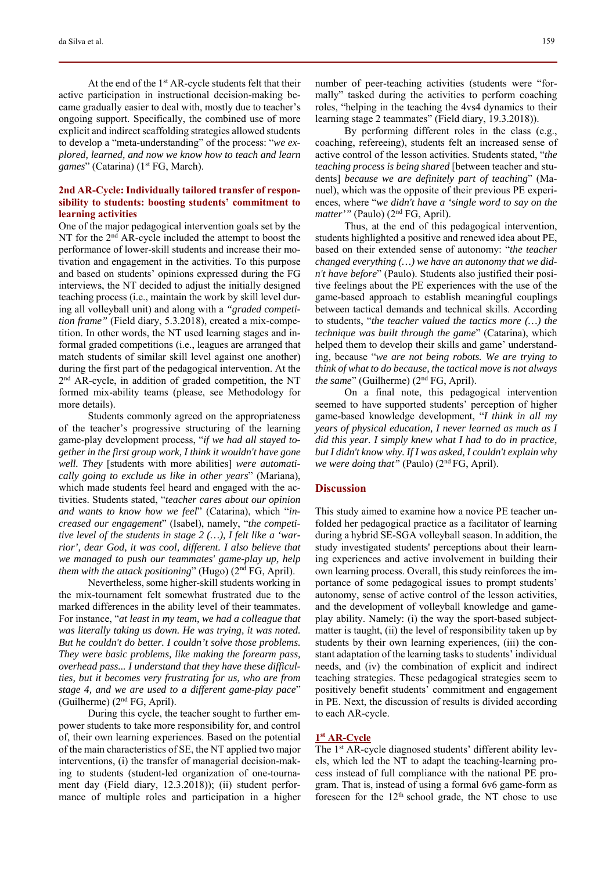At the end of the 1<sup>st</sup> AR-cycle students felt that their active participation in instructional decision-making became gradually easier to deal with, mostly due to teacher's ongoing support. Specifically, the combined use of more explicit and indirect scaffolding strategies allowed students to develop a "meta-understanding" of the process: "*we explored, learned, and now we know how to teach and learn*  games" (Catarina) (1<sup>st</sup> FG, March).

# **2nd AR-Cycle: Individually tailored transfer of responsibility to students: boosting students' commitment to learning activities**

One of the major pedagogical intervention goals set by the NT for the 2<sup>nd</sup> AR-cycle included the attempt to boost the performance of lower-skill students and increase their motivation and engagement in the activities. To this purpose and based on students' opinions expressed during the FG interviews, the NT decided to adjust the initially designed teaching process (i.e., maintain the work by skill level during all volleyball unit) and along with a *"graded competition frame"* (Field diary, 5.3.2018), created a mix-competition. In other words, the NT used learning stages and informal graded competitions (i.e., leagues are arranged that match students of similar skill level against one another) during the first part of the pedagogical intervention. At the 2<sup>nd</sup> AR-cycle, in addition of graded competition, the NT formed mix-ability teams (please, see Methodology for more details).

Students commonly agreed on the appropriateness of the teacher's progressive structuring of the learning game-play development process, "*if we had all stayed together in the first group work, I think it wouldn't have gone well. They* [students with more abilities] *were automatically going to exclude us like in other years*" (Mariana), which made students feel heard and engaged with the activities. Students stated, "*teacher cares about our opinion and wants to know how we feel*" (Catarina), which "*increased our engagement*" (Isabel), namely, "*the competitive level of the students in stage 2 (…), I felt like a 'warrior', dear God, it was cool, different. I also believe that we managed to push our teammates' game-play up, help them with the attack positioning*" (Hugo) (2<sup>nd</sup> FG, April).

Nevertheless, some higher-skill students working in the mix-tournament felt somewhat frustrated due to the marked differences in the ability level of their teammates. For instance, "*at least in my team, we had a colleague that was literally taking us down. He was trying, it was noted. But he couldn't do better. I couldn't solve those problems. They were basic problems, like making the forearm pass, overhead pass... I understand that they have these difficulties, but it becomes very frustrating for us, who are from stage 4, and we are used to a different game-play pace*" (Guilherme) (2nd FG, April).

During this cycle, the teacher sought to further empower students to take more responsibility for, and control of, their own learning experiences. Based on the potential of the main characteristics of SE, the NT applied two major interventions, (i) the transfer of managerial decision-making to students (student-led organization of one-tournament day (Field diary, 12.3.2018)); (ii) student performance of multiple roles and participation in a higher number of peer-teaching activities (students were "formally" tasked during the activities to perform coaching roles, "helping in the teaching the 4vs4 dynamics to their learning stage 2 teammates" (Field diary, 19.3.2018)).

By performing different roles in the class (e.g., coaching, refereeing), students felt an increased sense of active control of the lesson activities. Students stated, "*the teaching process is being shared* [between teacher and students] *because we are definitely part of teaching*" (Manuel), which was the opposite of their previous PE experiences, where "*we didn't have a 'single word to say on the matter'"* (Paulo) (2<sup>nd</sup> FG, April).

Thus, at the end of this pedagogical intervention, students highlighted a positive and renewed idea about PE, based on their extended sense of autonomy: "*the teacher changed everything (…) we have an autonomy that we didn't have before*" (Paulo). Students also justified their positive feelings about the PE experiences with the use of the game-based approach to establish meaningful couplings between tactical demands and technical skills. According to students, "*the teacher valued the tactics more (…) the technique was built through the game*" (Catarina), which helped them to develop their skills and game' understanding, because "*we are not being robots. We are trying to think of what to do because, the tactical move is not always the same*" (Guilherme) (2<sup>nd</sup> FG, April).

On a final note, this pedagogical intervention seemed to have supported students' perception of higher game-based knowledge development, "*I think in all my years of physical education, I never learned as much as I did this year. I simply knew what I had to do in practice, but I didn't know why. If I was asked, I couldn't explain why we were doing that"* (Paulo) (2nd FG, April).

## **Discussion**

This study aimed to examine how a novice PE teacher unfolded her pedagogical practice as a facilitator of learning during a hybrid SE-SGA volleyball season. In addition, the study investigated students' perceptions about their learning experiences and active involvement in building their own learning process. Overall, this study reinforces the importance of some pedagogical issues to prompt students' autonomy, sense of active control of the lesson activities, and the development of volleyball knowledge and gameplay ability. Namely: (i) the way the sport-based subjectmatter is taught, (ii) the level of responsibility taken up by students by their own learning experiences, (iii) the constant adaptation of the learning tasks to students' individual needs, and (iv) the combination of explicit and indirect teaching strategies. These pedagogical strategies seem to positively benefit students' commitment and engagement in PE. Next, the discussion of results is divided according to each AR-cycle.

#### **1st AR-Cycle**

The 1<sup>st</sup> AR-cycle diagnosed students' different ability levels, which led the NT to adapt the teaching-learning process instead of full compliance with the national PE program. That is, instead of using a formal 6v6 game-form as foreseen for the 12<sup>th</sup> school grade, the NT chose to use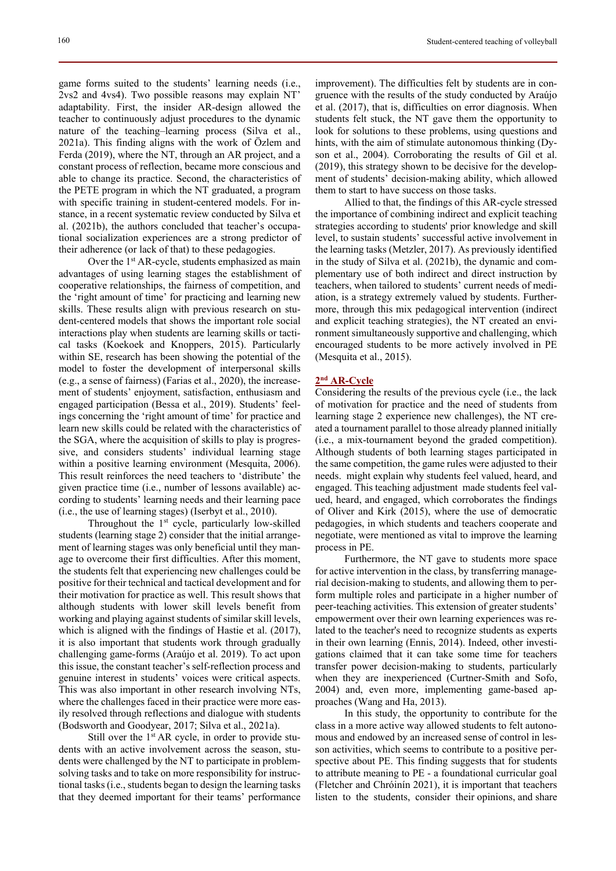game forms suited to the students' learning needs (i.e., 2vs2 and 4vs4). Two possible reasons may explain NT' adaptability. First, the insider AR-design allowed the teacher to continuously adjust procedures to the dynamic nature of the teaching–learning process (Silva et al., 2021a). This finding aligns with the work of Özlem and Ferda (2019), where the NT, through an AR project, and a constant process of reflection, became more conscious and able to change its practice. Second, the characteristics of the PETE program in which the NT graduated, a program with specific training in student-centered models. For instance, in a recent systematic review conducted by Silva et al. (2021b), the authors concluded that teacher's occupational socialization experiences are a strong predictor of their adherence (or lack of that) to these pedagogies.

Over the 1<sup>st</sup> AR-cycle, students emphasized as main advantages of using learning stages the establishment of cooperative relationships, the fairness of competition, and the 'right amount of time' for practicing and learning new skills. These results align with previous research on student-centered models that shows the important role social interactions play when students are learning skills or tactical tasks (Koekoek and Knoppers, 2015). Particularly within SE, research has been showing the potential of the model to foster the development of interpersonal skills (e.g., a sense of fairness) (Farias et al., 2020), the increasement of students' enjoyment, satisfaction, enthusiasm and engaged participation (Bessa et al., 2019). Students' feelings concerning the 'right amount of time' for practice and learn new skills could be related with the characteristics of the SGA, where the acquisition of skills to play is progressive, and considers students' individual learning stage within a positive learning environment (Mesquita, 2006). This result reinforces the need teachers to 'distribute' the given practice time (i.e., number of lessons available) according to students' learning needs and their learning pace (i.e., the use of learning stages) (Iserbyt et al., 2010).

Throughout the 1<sup>st</sup> cycle, particularly low-skilled students (learning stage 2) consider that the initial arrangement of learning stages was only beneficial until they manage to overcome their first difficulties. After this moment, the students felt that experiencing new challenges could be positive for their technical and tactical development and for their motivation for practice as well. This result shows that although students with lower skill levels benefit from working and playing against students of similar skill levels, which is aligned with the findings of Hastie et al. (2017), it is also important that students work through gradually challenging game-forms (Araújo et al. 2019). To act upon this issue, the constant teacher's self-reflection process and genuine interest in students' voices were critical aspects. This was also important in other research involving NTs, where the challenges faced in their practice were more easily resolved through reflections and dialogue with students (Bodsworth and Goodyear, 2017; Silva et al., 2021a).

Still over the  $1<sup>st</sup> AR$  cycle, in order to provide students with an active involvement across the season, students were challenged by the NT to participate in problemsolving tasks and to take on more responsibility for instructional tasks (i.e., students began to design the learning tasks that they deemed important for their teams' performance improvement). The difficulties felt by students are in congruence with the results of the study conducted by Araújo et al. (2017), that is, difficulties on error diagnosis. When students felt stuck, the NT gave them the opportunity to look for solutions to these problems, using questions and hints, with the aim of stimulate autonomous thinking (Dyson et al., 2004). Corroborating the results of Gil et al. (2019), this strategy shown to be decisive for the development of students' decision-making ability, which allowed them to start to have success on those tasks.

Allied to that, the findings of this AR-cycle stressed the importance of combining indirect and explicit teaching strategies according to students' prior knowledge and skill level, to sustain students' successful active involvement in the learning tasks (Metzler, 2017). As previously identified in the study of Silva et al. (2021b), the dynamic and complementary use of both indirect and direct instruction by teachers, when tailored to students' current needs of mediation, is a strategy extremely valued by students. Furthermore, through this mix pedagogical intervention (indirect and explicit teaching strategies), the NT created an environment simultaneously supportive and challenging, which encouraged students to be more actively involved in PE (Mesquita et al., 2015).

# **2nd AR-Cycle**

Considering the results of the previous cycle (i.e., the lack of motivation for practice and the need of students from learning stage 2 experience new challenges), the NT created a tournament parallel to those already planned initially (i.e., a mix-tournament beyond the graded competition). Although students of both learning stages participated in the same competition, the game rules were adjusted to their needs. might explain why students feel valued, heard, and engaged. This teaching adjustment made students feel valued, heard, and engaged, which corroborates the findings of Oliver and Kirk (2015), where the use of democratic pedagogies, in which students and teachers cooperate and negotiate, were mentioned as vital to improve the learning process in PE.

Furthermore, the NT gave to students more space for active intervention in the class, by transferring managerial decision-making to students, and allowing them to perform multiple roles and participate in a higher number of peer-teaching activities. This extension of greater students' empowerment over their own learning experiences was related to the teacher's need to recognize students as experts in their own learning (Ennis, 2014). Indeed, other investigations claimed that it can take some time for teachers transfer power decision-making to students, particularly when they are inexperienced (Curtner-Smith and Sofo, 2004) and, even more, implementing game-based approaches (Wang and Ha, 2013).

In this study, the opportunity to contribute for the class in a more active way allowed students to felt autonomous and endowed by an increased sense of control in lesson activities, which seems to contribute to a positive perspective about PE. This finding suggests that for students to attribute meaning to PE - a foundational curricular goal (Fletcher and Chróinín 2021), it is important that teachers listen to the students, consider their opinions, and share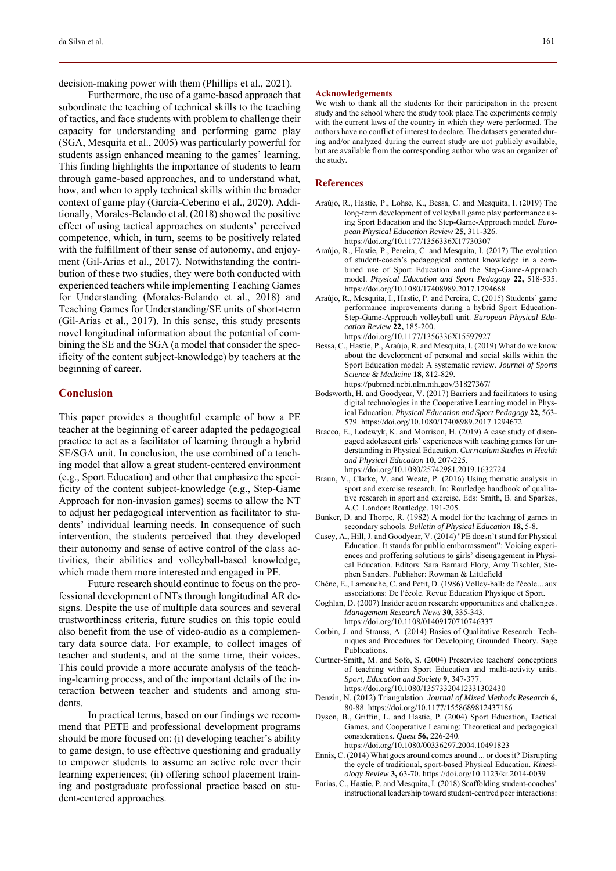decision-making power with them (Phillips et al., 2021).

Furthermore, the use of a game-based approach that subordinate the teaching of technical skills to the teaching of tactics, and face students with problem to challenge their capacity for understanding and performing game play (SGA, Mesquita et al., 2005) was particularly powerful for students assign enhanced meaning to the games' learning. This finding highlights the importance of students to learn through game-based approaches, and to understand what, how, and when to apply technical skills within the broader context of game play (García-Ceberino et al., 2020). Additionally, Morales-Belando et al. (2018) showed the positive effect of using tactical approaches on students' perceived competence, which, in turn, seems to be positively related with the fulfillment of their sense of autonomy, and enjoyment (Gil-Arias et al., 2017). Notwithstanding the contribution of these two studies, they were both conducted with experienced teachers while implementing Teaching Games for Understanding (Morales-Belando et al., 2018) and Teaching Games for Understanding/SE units of short-term (Gil-Arias et al., 2017). In this sense, this study presents novel longitudinal information about the potential of combining the SE and the SGA (a model that consider the specificity of the content subject-knowledge) by teachers at the beginning of career.

## **Conclusion**

This paper provides a thoughtful example of how a PE teacher at the beginning of career adapted the pedagogical practice to act as a facilitator of learning through a hybrid SE/SGA unit. In conclusion, the use combined of a teaching model that allow a great student-centered environment (e.g., Sport Education) and other that emphasize the specificity of the content subject-knowledge (e.g., Step-Game Approach for non-invasion games) seems to allow the NT to adjust her pedagogical intervention as facilitator to students' individual learning needs. In consequence of such intervention, the students perceived that they developed their autonomy and sense of active control of the class activities, their abilities and volleyball-based knowledge, which made them more interested and engaged in PE.

Future research should continue to focus on the professional development of NTs through longitudinal AR designs. Despite the use of multiple data sources and several trustworthiness criteria, future studies on this topic could also benefit from the use of video-audio as a complementary data source data. For example, to collect images of teacher and students, and at the same time, their voices. This could provide a more accurate analysis of the teaching-learning process, and of the important details of the interaction between teacher and students and among students.

In practical terms, based on our findings we recommend that PETE and professional development programs should be more focused on: (i) developing teacher's ability to game design, to use effective questioning and gradually to empower students to assume an active role over their learning experiences; (ii) offering school placement training and postgraduate professional practice based on student-centered approaches.

#### **Acknowledgements**

We wish to thank all the students for their participation in the present study and the school where the study took place.The experiments comply with the current laws of the country in which they were performed. The authors have no conflict of interest to declare. The datasets generated during and/or analyzed during the current study are not publicly available, but are available from the corresponding author who was an organizer of the study.

#### **References**

- Araújo, R., Hastie, P., Lohse, K., Bessa, C. and Mesquita, I. (2019) The long-term development of volleyball game play performance using Sport Education and the Step-Game-Approach model. *European Physical Education Review* **25,** 311-326. https://doi.org/10.1177/1356336X17730307
- Araújo, R., Hastie, P., Pereira, C. and Mesquita, I. (2017) The evolution of student-coach's pedagogical content knowledge in a combined use of Sport Education and the Step-Game-Approach model. *Physical Education and Sport Pedagogy* **22,** 518-535. https://doi.org/10.1080/17408989.2017.1294668
- Araújo, R., Mesquita, I., Hastie, P. and Pereira, C. (2015) Students' game performance improvements during a hybrid Sport Education-Step-Game-Approach volleyball unit. *European Physical Education Review* **22,** 185-200. https://doi.org/10.1177/1356336X15597927
- Bessa, C., Hastie, P., Araújo, R. and Mesquita, I. (2019) What do we know about the development of personal and social skills within the Sport Education model: A systematic review. *Journal of Sports Science & Medicine* **18,** 812-829.
- https://pubmed.ncbi.nlm.nih.gov/31827367/ Bodsworth, H. and Goodyear, V. (2017) Barriers and facilitators to using digital technologies in the Cooperative Learning model in Physical Education. *Physical Education and Sport Pedagogy* **22,** 563- 579. https://doi.org/10.1080/17408989.2017.1294672
- Bracco, E., Lodewyk, K. and Morrison, H. (2019) A case study of disengaged adolescent girls' experiences with teaching games for understanding in Physical Education. *Curriculum Studies in Health and Physical Education* **10,** 207-225. https://doi.org/10.1080/25742981.2019.1632724
- Braun, V., Clarke, V. and Weate, P. (2016) Using thematic analysis in sport and exercise research. In: Routledge handbook of qualitative research in sport and exercise. Eds: Smith, B. and Sparkes, A.C. London: Routledge. 191-205.
- Bunker, D. and Thorpe, R. (1982) A model for the teaching of games in secondary schools. *Bulletin of Physical Education* **18,** 5-8.
- Casey, A., Hill, J. and Goodyear, V. (2014) "PE doesn't stand for Physical Education. It stands for public embarrassment": Voicing experiences and proffering solutions to girls' disengagement in Physical Education. Editors: Sara Barnard Flory, Amy Tischler, Stephen Sanders. Publisher: Rowman & Littlefield
- Chêne, E., Lamouche, C. and Petit, D. (1986) Volley-ball: de l'école... aux associations: De l'école. Revue Education Physique et Sport.
- Coghlan, D. (2007) Insider action research: opportunities and challenges. *Management Research News* **30,** 335-343. https://doi.org/10.1108/01409170710746337
- Corbin, J. and Strauss, A. (2014) Basics of Qualitative Research: Techniques and Procedures for Developing Grounded Theory. Sage Publications.
- Curtner-Smith, M. and Sofo, S. (2004) Preservice teachers' conceptions of teaching within Sport Education and multi-activity units. *Sport, Education and Society* **9,** 347-377. https://doi.org/10.1080/13573320412331302430
- Denzin, N. (2012) Triangulation. *Journal of Mixed Methods Research* **6,** 80-88. https://doi.org/10.1177/1558689812437186
- Dyson, B., Griffin, L. and Hastie, P. (2004) Sport Education, Tactical Games, and Cooperative Learning: Theoretical and pedagogical considerations. *Quest* **56,** 226-240.
- https://doi.org/10.1080/00336297.2004.10491823 Ennis, C. (2014) What goes around comes around ... or does it? Disrupting the cycle of traditional, sport-based Physical Education. *Kinesi-*
- *ology Review* **3,** 63-70. https://doi.org/10.1123/kr.2014-0039 Farias, C., Hastie, P. and Mesquita, I. (2018) Scaffolding student-coaches' instructional leadership toward student-centred peer interactions: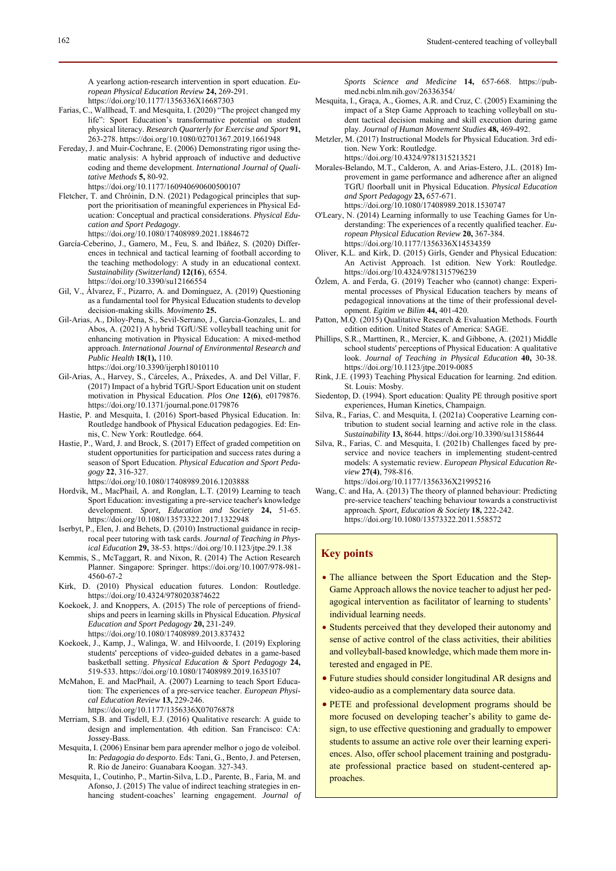A yearlong action-research intervention in sport education. *European Physical Education Review* **24,** 269-291.

- https://doi.org/10.1177/1356336X16687303
- Farias, C., Wallhead, T. and Mesquita, I. (2020) "The project changed my life": Sport Education's transformative potential on student physical literacy. *Research Quarterly for Exercise and Sport* **91,** 263-278. https://doi.org/10.1080/02701367.2019.1661948
- Fereday, J. and Muir-Cochrane, E. (2006) Demonstrating rigor using thematic analysis: A hybrid approach of inductive and deductive coding and theme development. *International Journal of Qualitative Methods* **5,** 80-92.
	- https://doi.org/10.1177/160940690600500107
- Fletcher, T. and Chróinín, D.N. (2021) Pedagogical principles that support the prioritisation of meaningful experiences in Physical Education: Conceptual and practical considerations. *Physical Education and Sport Pedagogy*.
- https://doi.org/10.1080/17408989.2021.1884672 García-Ceberino, J., Gamero, M., Feu, S. and Ibáñez, S. (2020) Differences in technical and tactical learning of football according to the teaching methodology: A study in an educational context. *Sustainability (Switzerland)* **12(16**), 6554.
- https://doi.org/10.3390/su12166554 Gil, V., Álvarez, F., Pizarro, A. and Domínguez, A. (2019) Questioning as a fundamental tool for Physical Education students to develop
- decision-making skills. *Movimento* **25.** Gil-Arias, A., Diloy-Pena, S., Sevil-Serrano, J., Garcia-Gonzales, L. and Abos, A. (2021) A hybrid TGfU/SE volleyball teaching unit for enhancing motivation in Physical Education: A mixed-method approach. *International Journal of Environmental Research and Public Health* **18(1),** 110.
	- https://doi.org/10.3390/ijerph18010110
- Gil-Arias, A., Harvey, S., Cárceles, A., Práxedes, A. and Del Villar, F. (2017) Impact of a hybrid TGfU-Sport Education unit on student motivation in Physical Education. *Plos One* **12(6)**, e0179876. https://doi.org/10.1371/journal.pone.0179876
- Hastie, P. and Mesquita, I. (2016) Sport-based Physical Education. In: Routledge handbook of Physical Education pedagogies. Ed: Ennis, C. New York: Routledge. 664.
- Hastie, P., Ward, J. and Brock, S. (2017) Effect of graded competition on student opportunities for participation and success rates during a season of Sport Education. *Physical Education and Sport Pedagogy* **22**, 316-327.

https://doi.org/10.1080/17408989.2016.1203888

- Hordvik, M., MacPhail, A. and Ronglan, L.T. (2019) Learning to teach Sport Education: investigating a pre-service teacher's knowledge development. *Sport, Education and Society* **24,** 51-65. https://doi.org/10.1080/13573322.2017.1322948
- Iserbyt, P., Elen, J. and Behets, D. (2010) Instructional guidance in reciprocal peer tutoring with task cards. *Journal of Teaching in Physical Education* **29,** 38-53. https://doi.org/10.1123/jtpe.29.1.38
- Kemmis, S., McTaggart, R. and Nixon, R. (2014) The Action Research Planner. Singapore: Springer. https://doi.org/10.1007/978-981- 4560-67-2
- Kirk, D. (2010) Physical education futures. London: Routledge. https://doi.org/10.4324/9780203874622
- Koekoek, J. and Knoppers, A. (2015) The role of perceptions of friendships and peers in learning skills in Physical Education. *Physical Education and Sport Pedagogy* **20,** 231-249. https://doi.org/10.1080/17408989.2013.837432
- Koekoek, J., Kamp, J., Walinga, W. and Hilvoorde, I. (2019) Exploring students' perceptions of video-guided debates in a game-based basketball setting. *Physical Education & Sport Pedagogy* **24,** 519-533. https://doi.org/10.1080/17408989.2019.1635107
- McMahon, E. and MacPhail, A. (2007) Learning to teach Sport Education: The experiences of a pre-service teacher. *European Physical Education Review* **13,** 229-246.
	- https://doi.org/10.1177/1356336X07076878
- Merriam, S.B. and Tisdell, E.J. (2016) Qualitative research: A guide to design and implementation. 4th edition. San Francisco: CA: Jossey-Bass.
- Mesquita, I. (2006) Ensinar bem para aprender melhor o jogo de voleibol. In: *Pedagogia do desporto*. Eds: Tani, G., Bento, J. and Petersen, R. Rio de Janeiro: Guanabara Koogan. 327-343.
- Mesquita, I., Coutinho, P., Martin-Silva, L.D., Parente, B., Faria, M. and Afonso, J. (2015) The value of indirect teaching strategies in enhancing student-coaches' learning engagement. *Journal of*

*Sports Science and Medicine* **14,** 657-668. https://pubmed.ncbi.nlm.nih.gov/26336354/

- Mesquita, I., Graça, A., Gomes, A.R. and Cruz, C. (2005) Examining the impact of a Step Game Approach to teaching volleyball on student tactical decision making and skill execution during game play. *Journal of Human Movement Studies* **48,** 469-492.
- Metzler, M. (2017) Instructional Models for Physical Education. 3rd edition. New York: Routledge. https://doi.org/10.4324/9781315213521
- Morales-Belando, M.T., Calderon, A. and Arias-Estero, J.L. (2018) Improvement in game performance and adherence after an aligned TGfU floorball unit in Physical Education. *Physical Education and Sport Pedagogy* **23,** 657-671.
- https://doi.org/10.1080/17408989.2018.1530747 O'Leary, N. (2014) Learning informally to use Teaching Games for Understanding: The experiences of a recently qualified teacher. *European Physical Education Review* **20,** 367-384.

https://doi.org/10.1177/1356336X14534359

- Oliver, K.L. and Kirk, D. (2015) Girls, Gender and Physical Education: An Activist Approach. 1st edition. New York: Routledge. https://doi.org/10.4324/9781315796239
- Özlem, A. and Ferda, G. (2019) Teacher who (cannot) change: Experimental processes of Physical Education teachers by means of pedagogical innovations at the time of their professional development. *Egitim ve Bilim* **44,** 401-420.
- Patton, M.Q. (2015) Qualitative Research & Evaluation Methods. Fourth edition edition. United States of America: SAGE.
- Phillips, S.R., Marttinen, R., Mercier, K. and Gibbone, A. (2021) Middle school students' perceptions of Physical Education: A qualitative look. *Journal of Teaching in Physical Education* **40,** 30-38. https://doi.org/10.1123/jtpe.2019-0085
- Rink, J.E. (1993) Teaching Physical Education for learning. 2nd edition. St. Louis: Mosby.
- Siedentop, D. (1994). Sport education: Quality PE through positive sport experiences, Human Kinetics, Champaign.
- Silva, R., Farias, C. and Mesquita, I. (2021a) Cooperative Learning contribution to student social learning and active role in the class. *Sustainability* **13,** 8644. https://doi.org/10.3390/su13158644
- Silva, R., Farias, C. and Mesquita, I. (2021b) Challenges faced by preservice and novice teachers in implementing student-centred models: A systematic review. *European Physical Education Review* **27(4)**, 798-816.

https://doi.org/10.1177/1356336X21995216

Wang, C. and Ha, A. (2013) The theory of planned behaviour: Predicting pre-service teachers' teaching behaviour towards a constructivist approach. *Sport, Education & Society* **18,** 222-242. https://doi.org/10.1080/13573322.2011.558572

# **Key points**

- The alliance between the Sport Education and the Step-Game Approach allows the novice teacher to adjust her pedagogical intervention as facilitator of learning to students' individual learning needs.
- Students perceived that they developed their autonomy and sense of active control of the class activities, their abilities and volleyball-based knowledge, which made them more interested and engaged in PE.
- Future studies should consider longitudinal AR designs and video-audio as a complementary data source data.
- PETE and professional development programs should be more focused on developing teacher's ability to game design, to use effective questioning and gradually to empower students to assume an active role over their learning experiences. Also, offer school placement training and postgraduate professional practice based on student-centered approaches.